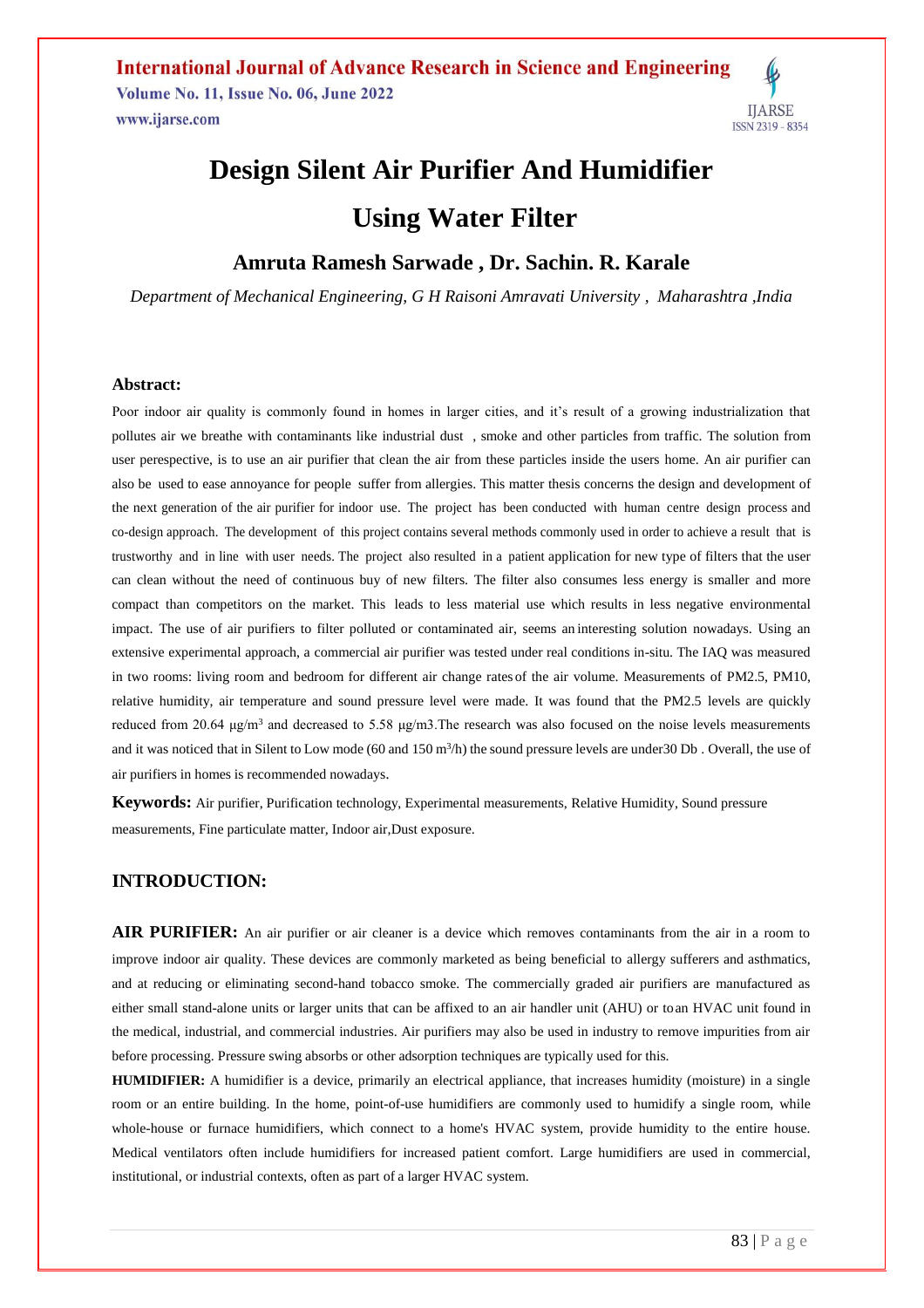

# **Design Silent Air Purifier And Humidifier Using Water Filter**

**Amruta Ramesh Sarwade , Dr. Sachin. R. Karale**

*Department of Mechanical Engineering, G H Raisoni Amravati University , Maharashtra ,India*

## **Abstract:**

Poor indoor air quality is commonly found in homes in larger cities, and it's result of a growing industrialization that pollutes air we breathe with contaminants like industrial dust , smoke and other particles from traffic. The solution from user perespective, is to use an air purifier that clean the air from these particles inside the users home. An air purifier can also be used to ease annoyance for people suffer from allergies. This matter thesis concerns the design and development of the next generation of the air purifier for indoor use. The project has been conducted with human centre design process and co-design approach. The development of this project contains several methods commonly used in order to achieve a result that is trustworthy and in line with user needs. The project also resulted in a patient application for new type of filters that the user can clean without the need of continuous buy of new filters. The filter also consumes less energy is smaller and more compact than competitors on the market. This leads to less material use which results in less negative environmental impact. The use of air purifiers to filter polluted or contaminated air, seems an interesting solution nowadays. Using an extensive experimental approach, a commercial air purifier was tested under real conditions in-situ. The IAQ was measured in two rooms: living room and bedroom for different air change rates of the air volume. Measurements of PM2.5, PM10, relative humidity, air temperature and sound pressure level were made. It was found that the PM2.5 levels are quickly reduced from 20.64 μg/m<sup>3</sup> and decreased to 5.58 μg/m3. The research was also focused on the noise levels measurements and it was noticed that in Silent to Low mode  $(60 \text{ and } 150 \text{ m}^3/\text{h})$  the sound pressure levels are under 30 Db. Overall, the use of air purifiers in homes is recommended nowadays.

**Keywords:** Air purifier, Purification technology, Experimental measurements, Relative Humidity, Sound pressure measurements, Fine particulate matter, Indoor air,Dust exposure.

## **INTRODUCTION:**

**AIR PURIFIER:** An air purifier or air cleaner is a device which removes contaminants from the air in a room to improve indoor air quality. These devices are commonly marketed as being beneficial to allergy sufferers and asthmatics, and at reducing or eliminating second-hand tobacco smoke. The commercially graded air purifiers are manufactured as either small stand-alone units or larger units that can be affixed to an air handler unit (AHU) or toan HVAC unit found in the medical, industrial, and commercial industries. Air purifiers may also be used in industry to remove impurities from air before processing. Pressure swing absorbs or other adsorption techniques are typically used for this.

**HUMIDIFIER:** A humidifier is a device, primarily an electrical appliance, that increases humidity (moisture) in a single room or an entire building. In the home, point-of-use humidifiers are commonly used to humidify a single room, while whole-house or furnace humidifiers, which connect to a home's HVAC system, provide humidity to the entire house. Medical ventilators often include humidifiers for increased patient comfort. Large humidifiers are used in commercial, institutional, or industrial contexts, often as part of a larger HVAC system.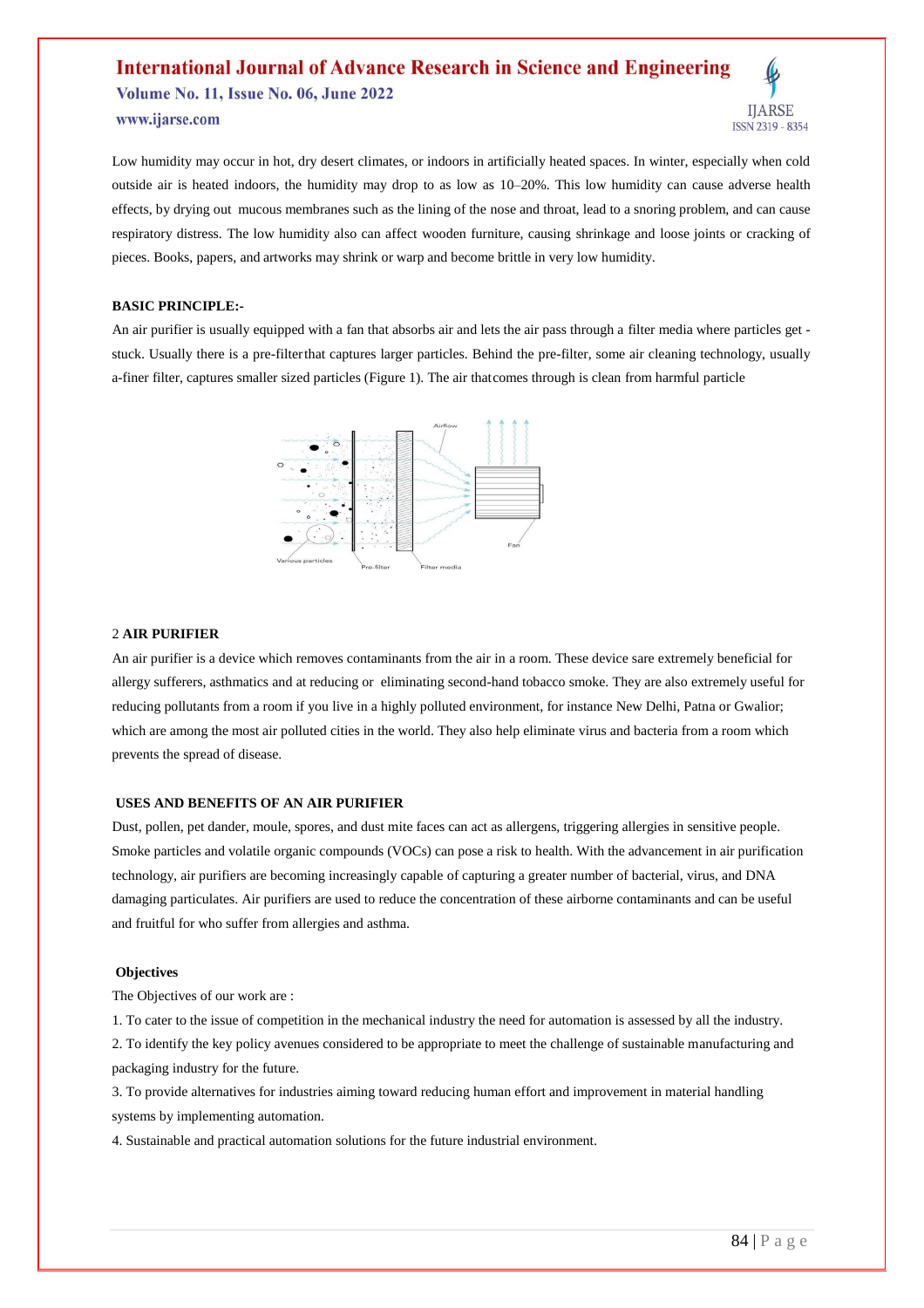## **International Journal of Advance Research in Science and Engineering Volume No. 11, Issue No. 06, June 2022** www.ijarse.com ISSN 2319 - 8354

Low humidity may occur in hot, dry desert climates, or indoors in artificially heated spaces. In winter, especially when cold outside air is heated indoors, the humidity may drop to as low as 10–20%. This low humidity can cause adverse health effects, by drying out mucous membranes such as the lining of the nose and throat, lead to a snoring problem, and can cause respiratory distress. The low humidity also can affect wooden furniture, causing shrinkage and loose joints or cracking of pieces. Books, papers, and artworks may shrink or warp and become brittle in very low humidity.

#### **BASIC PRINCIPLE:-**

An air purifier is usually equipped with a fan that absorbs air and lets the air pass through a filter media where particles get stuck. Usually there is a pre-filterthat captures larger particles. Behind the pre-filter, some air cleaning technology, usually a-finer filter, captures smaller sized particles (Figure 1). The air thatcomes through is clean from harmful particle



#### 2 **AIR PURIFIER**

An air purifier is a device which removes contaminants from the air in a room. These device sare extremely beneficial for allergy sufferers, asthmatics and at reducing or eliminating second-hand tobacco smoke. They are also extremely useful for reducing pollutants from a room if you live in a highly polluted environment, for instance New Delhi, Patna or Gwalior; which are among the most air polluted cities in the world. They also help eliminate virus and bacteria from a room which prevents the spread of disease.

#### **USES AND BENEFITS OF AN AIR PURIFIER**

Dust, pollen, pet dander, moule, spores, and dust mite faces can act as allergens, triggering allergies in sensitive people. Smoke particles and volatile organic compounds (VOCs) can pose a risk to health. With the advancement in air purification technology, air purifiers are becoming increasingly capable of capturing a greater number of bacterial, virus, and DNA damaging particulates. Air purifiers are used to reduce the concentration of these airborne contaminants and can be useful and fruitful for who suffer from allergies and asthma.

#### **Objectives**

The Objectives of our work are :

1. To cater to the issue of competition in the mechanical industry the need for automation is assessed by all the industry. 2. To identify the key policy avenues considered to be appropriate to meet the challenge of sustainable manufacturing and packaging industry for the future.

3. To provide alternatives for industries aiming toward reducing human effort and improvement in material handling systems by implementing automation.

4. Sustainable and practical automation solutions for the future industrial environment.

**IJARSE**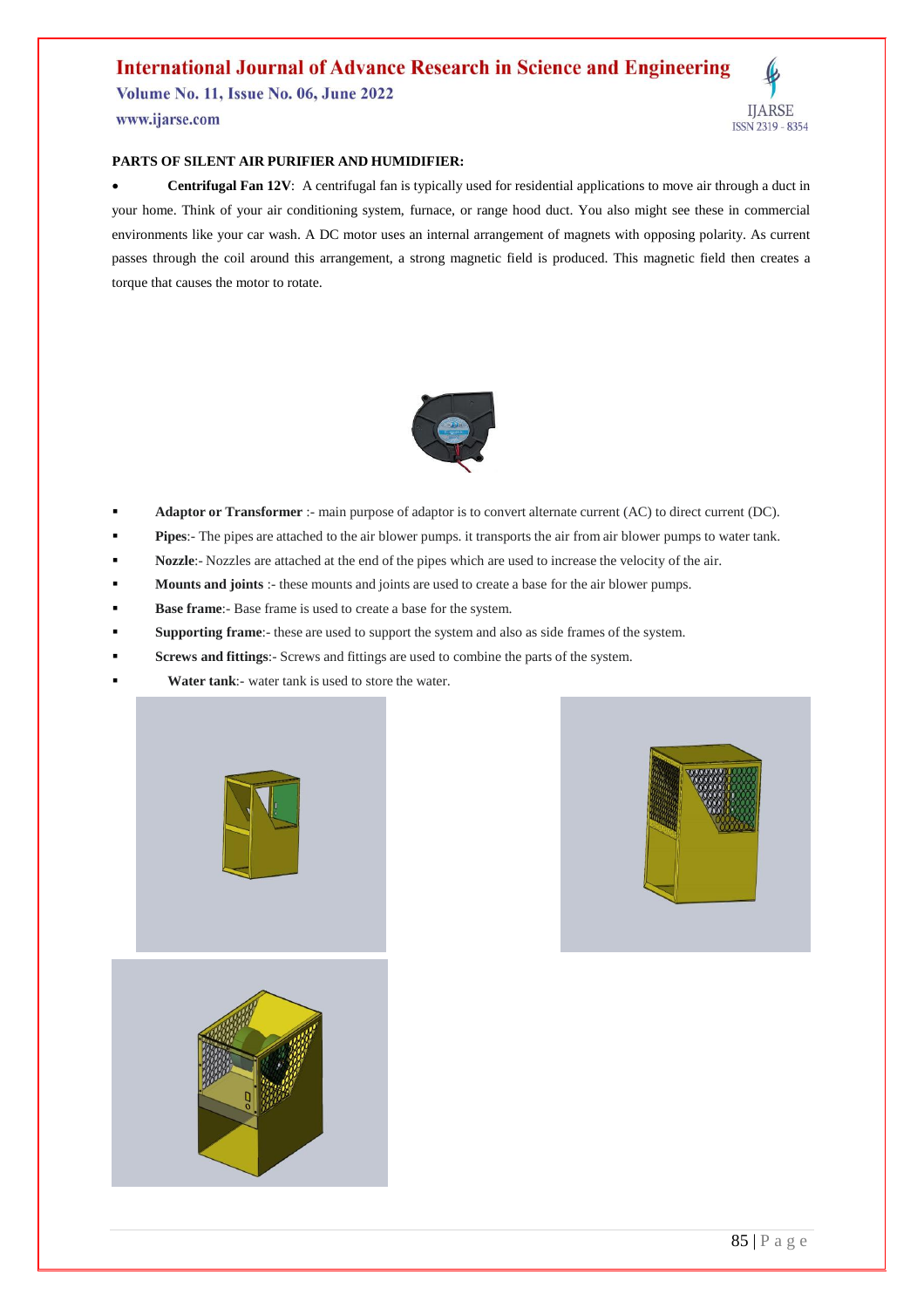**Volume No. 11, Issue No. 06, June 2022** 

www.ijarse.com

### **PARTS OF SILENT AIR PURIFIER AND HUMIDIFIER:**

 **Centrifugal Fan 12V**: A centrifugal fan is typically used for residential applications to move air through a duct in your home. Think of your air conditioning system, furnace, or range hood duct. You also might see these in commercial environments like your car wash. A DC motor uses an internal arrangement of magnets with opposing polarity. As current passes through the coil around this arrangement, a strong magnetic field is produced. This magnetic field then creates a torque that causes the motor to rotate.



- **Adaptor or Transformer** :- main purpose of adaptor is to convert alternate current (AC) to direct current (DC).
- **Pipes**:- The pipes are attached to the air blower pumps. it transports the air from air blower pumps to water tank.
- **Nozzle**:- Nozzles are attached at the end of the pipes which are used to increase the velocity of the air.
- **Mounts and joints** :- these mounts and joints are used to create a base for the air blower pumps.
- **Base frame**:- Base frame is used to create a base for the system.
- **Supporting frame**:- these are used to support the system and also as side frames of the system.
- **Screws and fittings**:- Screws and fittings are used to combine the parts of the system.
- **Water tank**:- water tank is used to store the water.





**IJARSE** 

ISSN 2319 - 8354

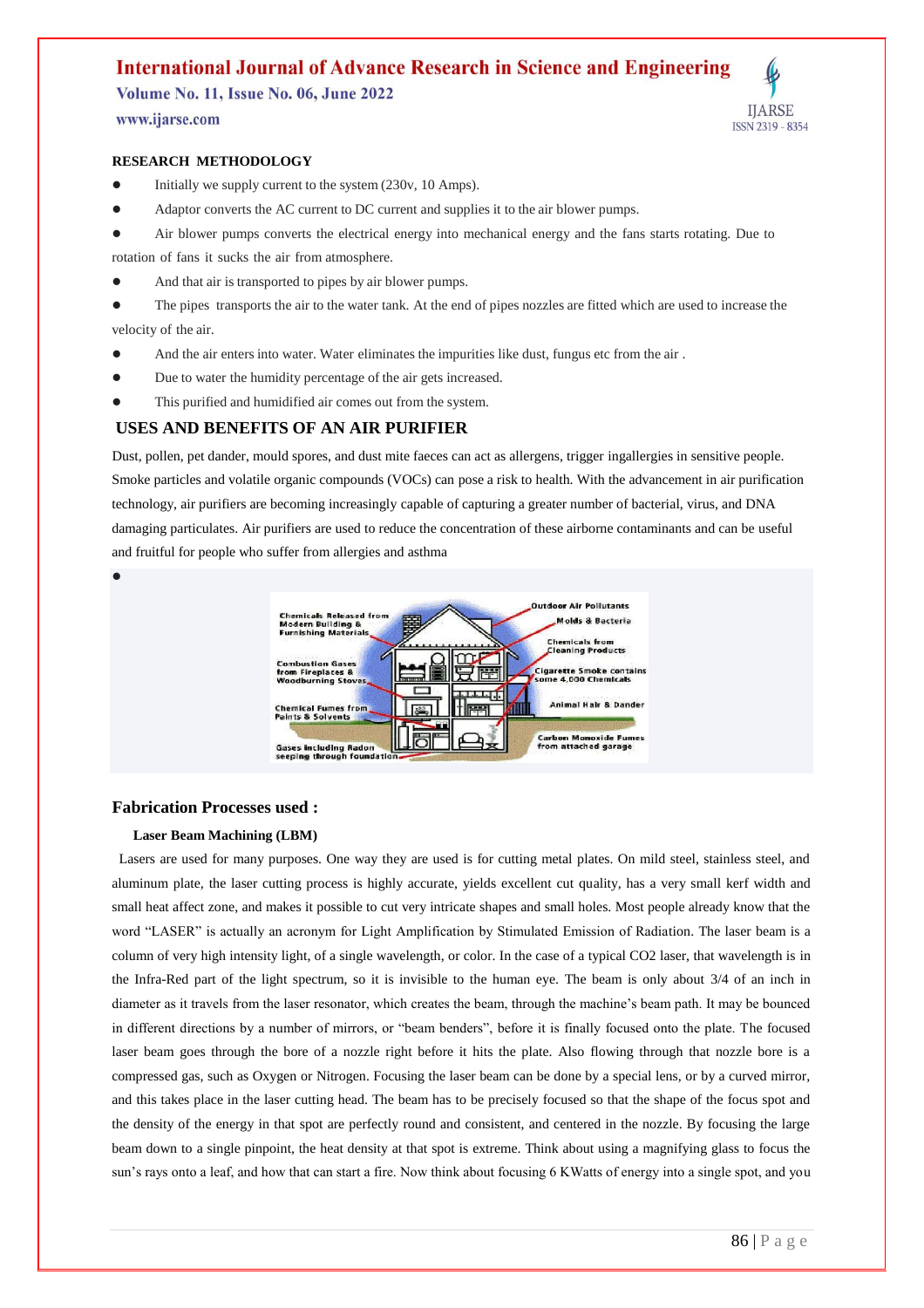**Volume No. 11, Issue No. 06, June 2022** 

www.ijarse.com

 $\bullet$ 

### **RESEARCH METHODOLOGY**

- Initially we supply current to the system (230v, 10 Amps).
- Adaptor converts the AC current to DC current and supplies it to the air blower pumps.
- Air blower pumps converts the electrical energy into mechanical energy and the fans starts rotating. Due to

rotation of fans it sucks the air from atmosphere.

And that air is transported to pipes by air blower pumps.

 The pipes transports the air to the water tank. At the end of pipes nozzles are fitted which are used to increase the velocity of the air.

- And the air enters into water. Water eliminates the impurities like dust, fungus etc from the air.
- Due to water the humidity percentage of the air gets increased.
- This purified and humidified air comes out from the system.

## **USES AND BENEFITS OF AN AIR PURIFIER**

Dust, pollen, pet dander, mould spores, and dust mite faeces can act as allergens, trigger ingallergies in sensitive people. Smoke particles and volatile organic compounds (VOCs) can pose a risk to health. With the advancement in air purification technology, air purifiers are becoming increasingly capable of capturing a greater number of bacterial, virus, and DNA damaging particulates. Air purifiers are used to reduce the concentration of these airborne contaminants and can be useful and fruitful for people who suffer from allergies and asthma



## **Fabrication Processes used :**

## **Laser Beam Machining (LBM)**

 Lasers are used for many purposes. One way they are used is for cutting metal plates. On mild steel, stainless steel, and aluminum plate, the laser cutting process is highly accurate, yields excellent cut quality, has a very small kerf width and small heat affect zone, and makes it possible to cut very intricate shapes and small holes. Most people already know that the word "LASER" is actually an acronym for Light Amplification by Stimulated Emission of Radiation. The laser beam is a column of very high intensity light, of a single wavelength, or color. In the case of a typical CO2 laser, that wavelength is in the Infra-Red part of the light spectrum, so it is invisible to the human eye. The beam is only about 3/4 of an inch in diameter as it travels from the laser resonator, which creates the beam, through the machine's beam path. It may be bounced in different directions by a number of mirrors, or "beam benders", before it is finally focused onto the plate. The focused laser beam goes through the bore of a nozzle right before it hits the plate. Also flowing through that nozzle bore is a compressed gas, such as Oxygen or Nitrogen. Focusing the laser beam can be done by a special lens, or by a curved mirror, and this takes place in the laser cutting head. The beam has to be precisely focused so that the shape of the focus spot and the density of the energy in that spot are perfectly round and consistent, and centered in the nozzle. By focusing the large beam down to a single pinpoint, the heat density at that spot is extreme. Think about using a magnifying glass to focus the sun's rays onto a leaf, and how that can start a fire. Now think about focusing 6 KWatts of energy into a single spot, and you

**IJARSE** 

ISSN 2319 - 8354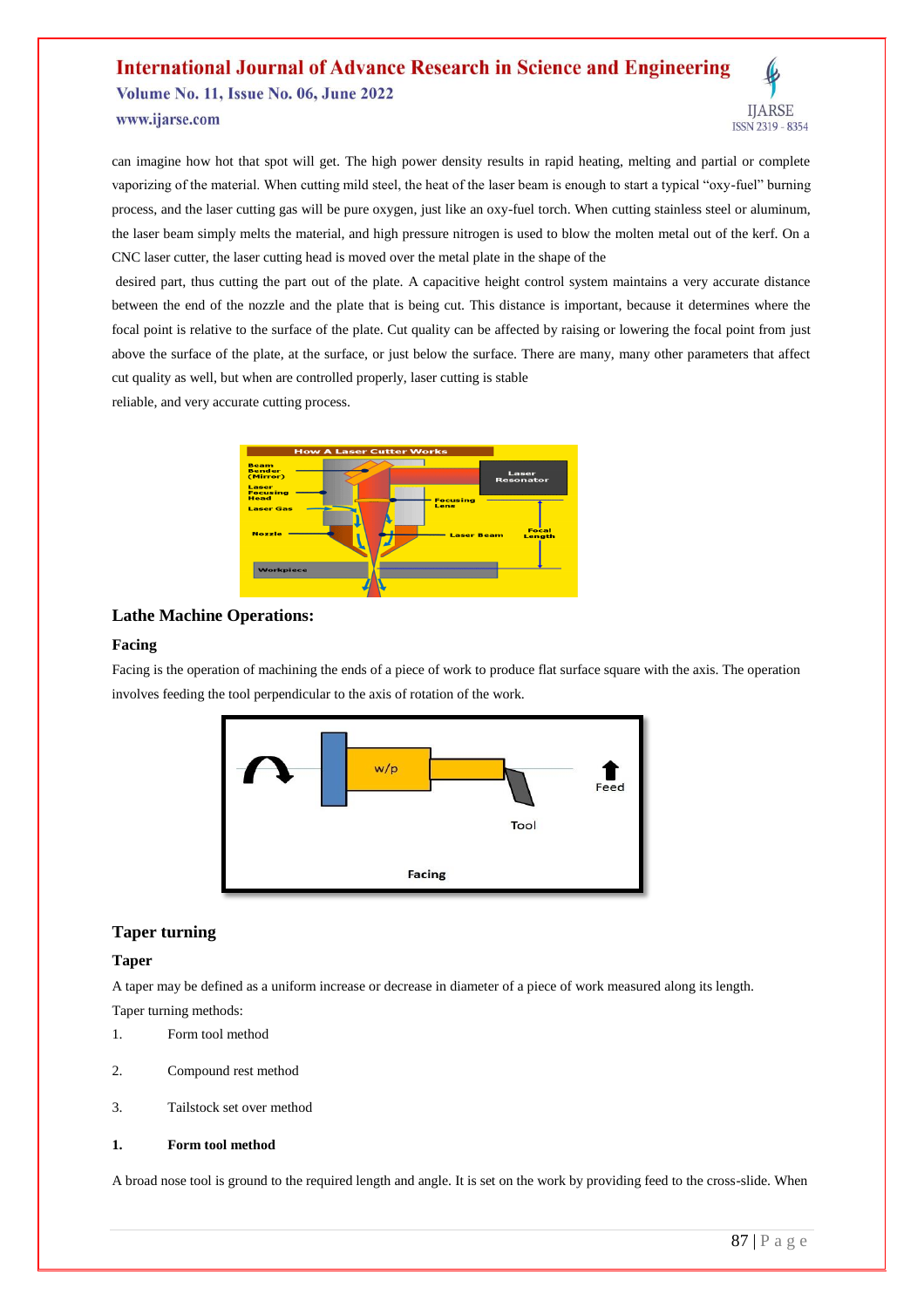# **International Journal of Advance Research in Science and Engineering Volume No. 11, Issue No. 06, June 2022** www.ijarse.com



can imagine how hot that spot will get. The high power density results in rapid heating, melting and partial or complete vaporizing of the material. When cutting mild steel, the heat of the laser beam is enough to start a typical "oxy-fuel" burning process, and the laser cutting gas will be pure oxygen, just like an oxy-fuel torch. When cutting stainless steel or aluminum, the laser beam simply melts the material, and high pressure nitrogen is used to blow the molten metal out of the kerf. On a CNC laser cutter, the laser cutting head is moved over the metal plate in the shape of the

desired part, thus cutting the part out of the plate. A capacitive height control system maintains a very accurate distance between the end of the nozzle and the plate that is being cut. This distance is important, because it determines where the focal point is relative to the surface of the plate. Cut quality can be affected by raising or lowering the focal point from just above the surface of the plate, at the surface, or just below the surface. There are many, many other parameters that affect cut quality as well, but when are controlled properly, laser cutting is stable

reliable, and very accurate cutting process.



## **Lathe Machine Operations:**

#### **Facing**

Facing is the operation of machining the ends of a piece of work to produce flat surface square with the axis. The operation involves feeding the tool perpendicular to the axis of rotation of the work.



## **Taper turning**

#### **Taper**

A taper may be defined as a uniform increase or decrease in diameter of a piece of work measured along its length. Taper turning methods:

- 1. Form tool method
- 2. Compound rest method
- 3. Tailstock set over method

#### **1. Form tool method**

A broad nose tool is ground to the required length and angle. It is set on the work by providing feed to the cross-slide. When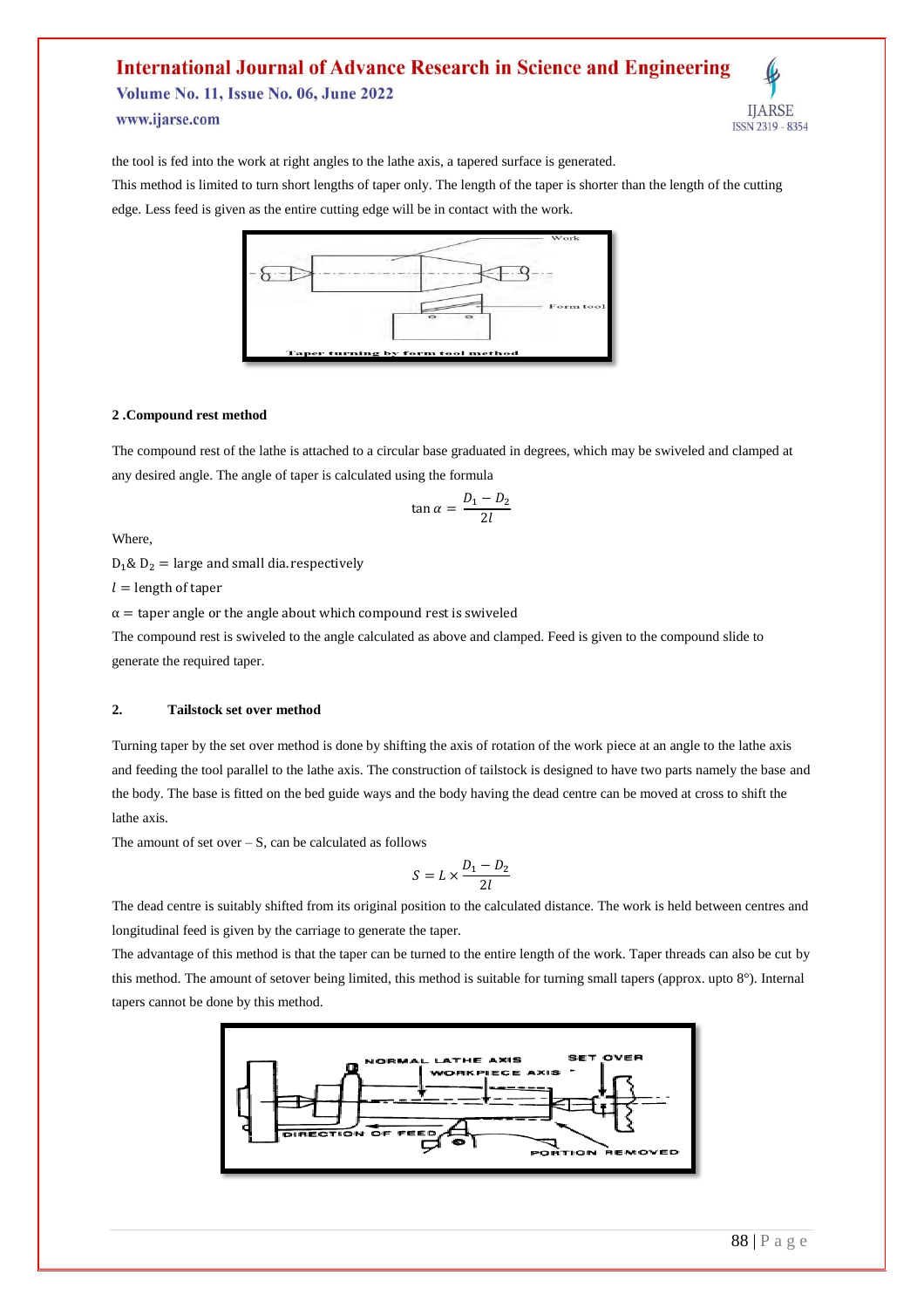**Volume No. 11, Issue No. 06, June 2022** www.ijarse.com



the tool is fed into the work at right angles to the lathe axis, a tapered surface is generated.

This method is limited to turn short lengths of taper only. The length of the taper is shorter than the length of the cutting edge. Less feed is given as the entire cutting edge will be in contact with the work.



#### **2 .Compound rest method**

The compound rest of the lathe is attached to a circular base graduated in degrees, which may be swiveled and clamped at any desired angle. The angle of taper is calculated using the formula

$$
\tan \alpha = \frac{D_1 - D_2}{2l}
$$

Where,

 $D_1 \& D_2$  = large and small dia. respectively

 $l =$  length of taper

 $\alpha$  = taper angle or the angle about which compound rest is swiveled

The compound rest is swiveled to the angle calculated as above and clamped. Feed is given to the compound slide to generate the required taper.

#### **2. Tailstock set over method**

Turning taper by the set over method is done by shifting the axis of rotation of the work piece at an angle to the lathe axis and feeding the tool parallel to the lathe axis. The construction of tailstock is designed to have two parts namely the base and the body. The base is fitted on the bed guide ways and the body having the dead centre can be moved at cross to shift the lathe axis.

The amount of set over  $- S$ , can be calculated as follows

$$
S=L\times \frac{D_1-D_2}{2l}
$$

The dead centre is suitably shifted from its original position to the calculated distance. The work is held between centres and longitudinal feed is given by the carriage to generate the taper.

The advantage of this method is that the taper can be turned to the entire length of the work. Taper threads can also be cut by this method. The amount of setover being limited, this method is suitable for turning small tapers (approx. upto 8°). Internal tapers cannot be done by this method.

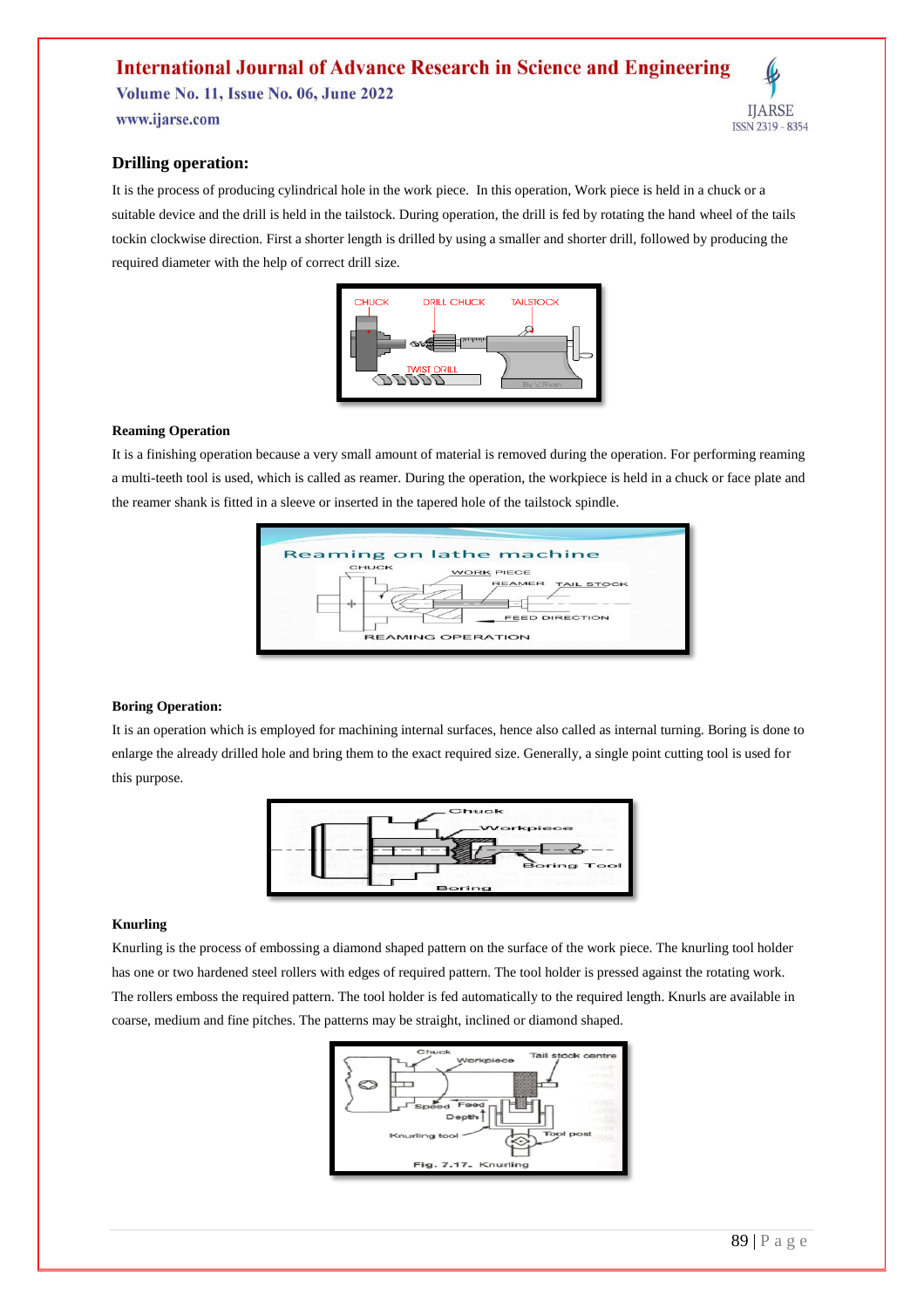**Volume No. 11, Issue No. 06, June 2022** 

www.ijarse.com

# **IJARSE** ISSN 2319 - 8354

## **Drilling operation:**

It is the process of producing cylindrical hole in the work piece. In this operation, Work piece is held in a chuck or a suitable device and the drill is held in the tailstock. During operation, the drill is fed by rotating the hand wheel of the tails tockin clockwise direction. First a shorter length is drilled by using a smaller and shorter drill, followed by producing the required diameter with the help of correct drill size.



#### **Reaming Operation**

It is a finishing operation because a very small amount of material is removed during the operation. For performing reaming a multi-teeth tool is used, which is called as reamer. During the operation, the workpiece is held in a chuck or face plate and the reamer shank is fitted in a sleeve or inserted in the tapered hole of the tailstock spindle.



#### **Boring Operation:**

It is an operation which is employed for machining internal surfaces, hence also called as internal turning. Boring is done to enlarge the already drilled hole and bring them to the exact required size. Generally, a single point cutting tool is used for this purpose.



#### **Knurling**

Knurling is the process of embossing a diamond shaped pattern on the surface of the work piece. The knurling tool holder has one or two hardened steel rollers with edges of required pattern. The tool holder is pressed against the rotating work. The rollers emboss the required pattern. The tool holder is fed automatically to the required length. Knurls are available in coarse, medium and fine pitches. The patterns may be straight, inclined or diamond shaped.

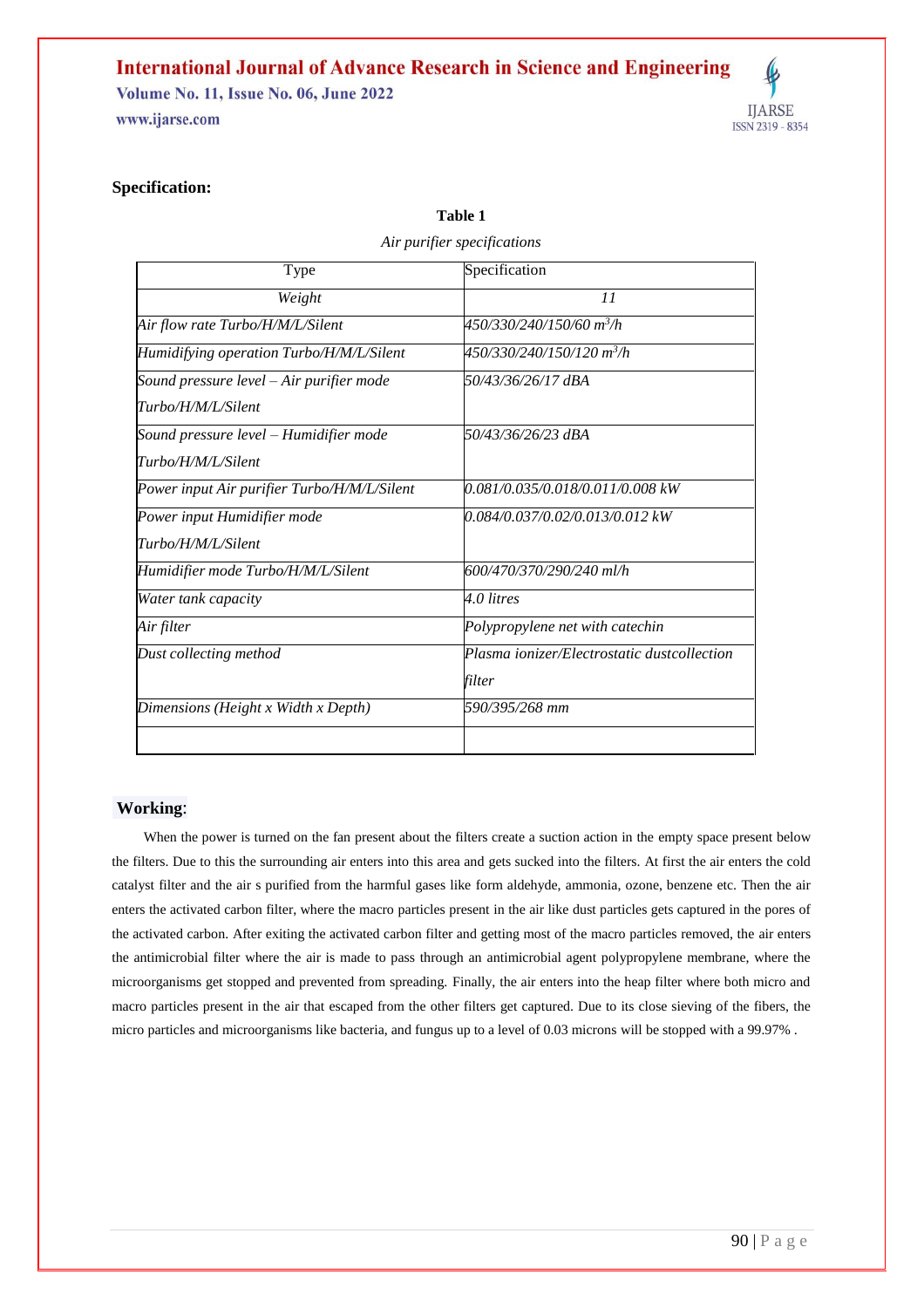**Volume No. 11, Issue No. 06, June 2022** 

www.ijarse.com



## **Specification:**

| Type                                        | Specification                               |
|---------------------------------------------|---------------------------------------------|
| Weight                                      | 11                                          |
| Air flow rate Turbo/H/M/L/Silent            | 450/330/240/150/60 m <sup>3</sup> /h        |
| Humidifying operation Turbo/H/M/L/Silent    | 450/330/240/150/120 m <sup>3</sup> /h       |
| Sound pressure level - Air purifier mode    | 50/43/36/26/17 dBA                          |
| Turbo/H/M/L/Silent                          |                                             |
| Sound pressure level - Humidifier mode      | 50/43/36/26/23 dBA                          |
| Turbo/H/M/L/Silent                          |                                             |
| Power input Air purifier Turbo/H/M/L/Silent | 0.081/0.035/0.018/0.011/0.008 kW            |
| Power input Humidifier mode                 | 0.084/0.037/0.02/0.013/0.012 kW             |
| Turbo/H/M/L/Silent                          |                                             |
| Humidifier mode Turbo/H/M/L/Silent          | 600/470/370/290/240 ml/h                    |
| Water tank capacity                         | 4.0 litres                                  |
| Air filter                                  | Polypropylene net with catechin             |
| Dust collecting method                      | Plasma ionizer/Electrostatic dustcollection |
|                                             | filter                                      |
| Dimensions (Height x Width x Depth)         | 590/395/268 mm                              |
|                                             |                                             |

**Table 1** *Air purifier specifications*

## **Working**:

When the power is turned on the fan present about the filters create a suction action in the empty space present below the filters. Due to this the surrounding air enters into this area and gets sucked into the filters. At first the air enters the cold catalyst filter and the air s purified from the harmful gases like form aldehyde, ammonia, ozone, benzene etc. Then the air enters the activated carbon filter, where the macro particles present in the air like dust particles gets captured in the pores of the activated carbon. After exiting the activated carbon filter and getting most of the macro particles removed, the air enters the antimicrobial filter where the air is made to pass through an antimicrobial agent polypropylene membrane, where the microorganisms get stopped and prevented from spreading. Finally, the air enters into the heap filter where both micro and macro particles present in the air that escaped from the other filters get captured. Due to its close sieving of the fibers, the micro particles and microorganisms like bacteria, and fungus up to a level of 0.03 microns will be stopped with a 99.97% .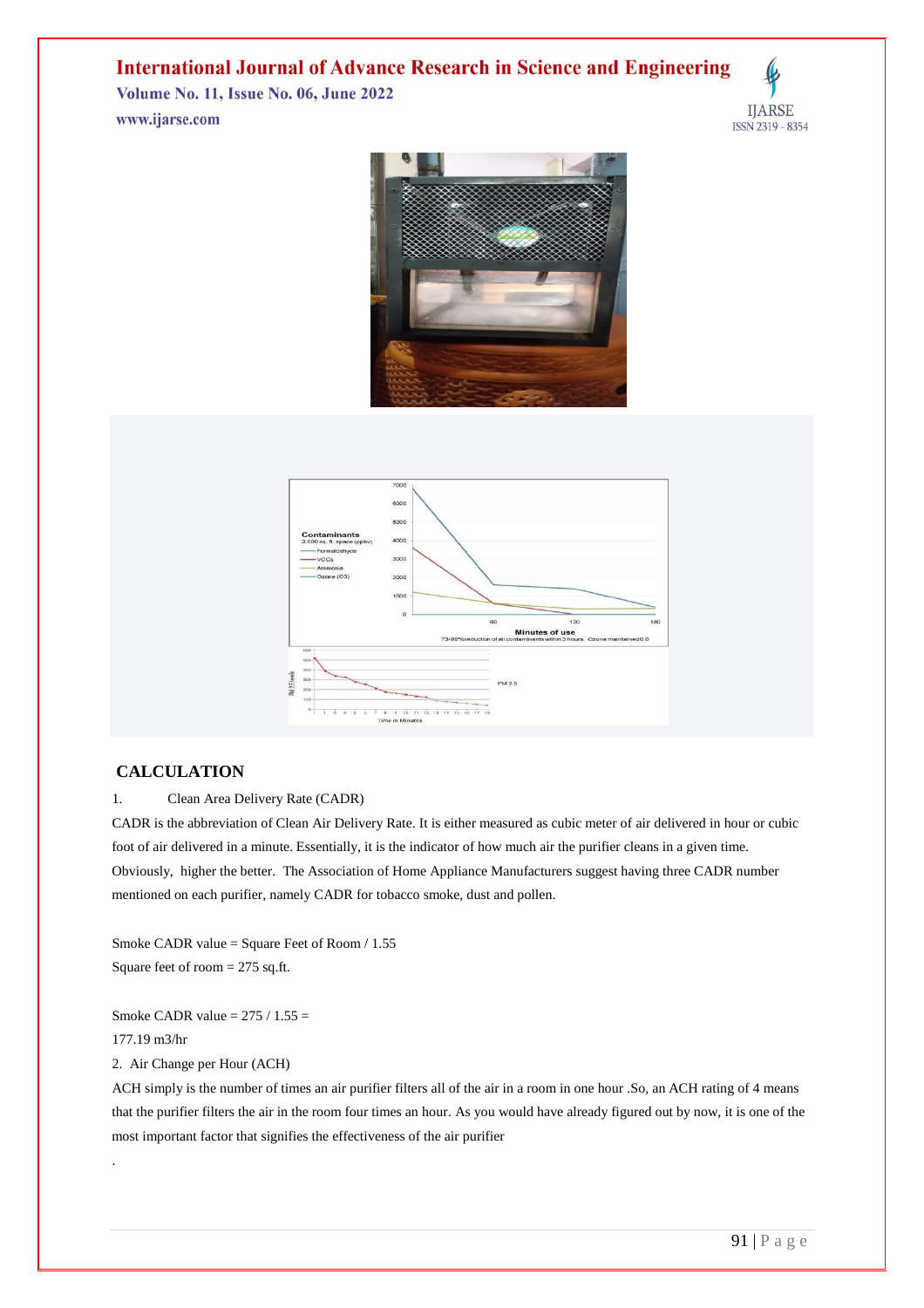**Volume No. 11, Issue No. 06, June 2022** www.ijarse.com

**IJARSE** ISSN 2319 - 8354





## **CALCULATION**

## 1. Clean Area Delivery Rate (CADR)

CADR is the abbreviation of Clean Air Delivery Rate. It is either measured as cubic meter of air delivered in hour or cubic foot of air delivered in a minute. Essentially, it is the indicator of how much air the purifier cleans in a given time. Obviously, higher the better. The Association of Home Appliance Manufacturers suggest having three CADR number mentioned on each purifier, namely CADR for tobacco smoke, dust and pollen.

Smoke CADR value = Square Feet of Room / 1.55 Square feet of room = 275 sq.ft.

Smoke CADR value  $= 275 / 1.55 =$ 

177.19 m3/hr

.

2. Air Change per Hour (ACH)

ACH simply is the number of times an air purifier filters all of the air in a room in one hour .So, an ACH rating of 4 means that the purifier filters the air in the room four times an hour. As you would have already figured out by now, it is one of the most important factor that signifies the effectiveness of the air purifier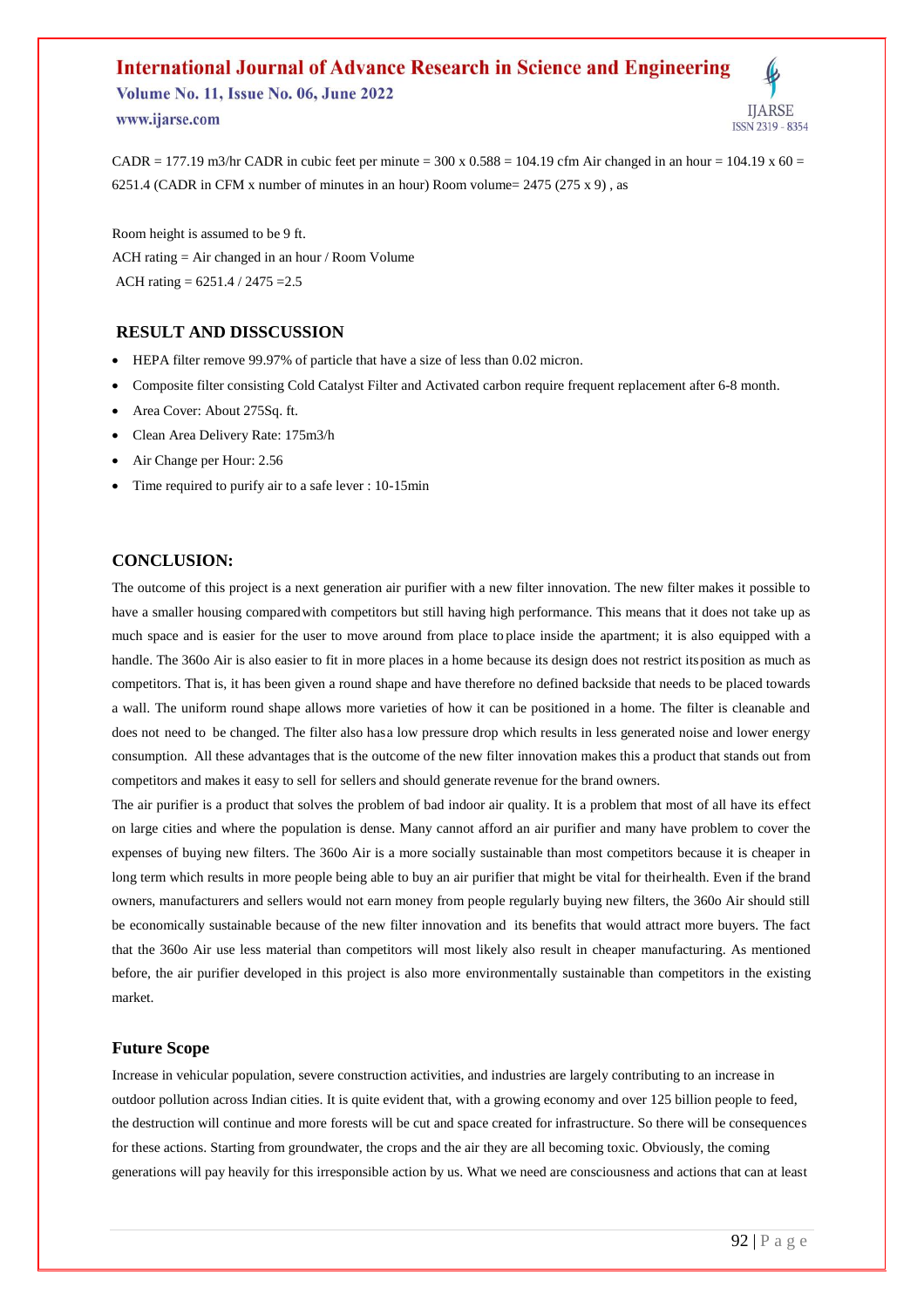**Volume No. 11, Issue No. 06, June 2022** www.ijarse.com

**IIARSE ISSN 2319 - 8354** 

CADR = 177.19 m3/hr CADR in cubic feet per minute =  $300 \times 0.588 = 104.19$  cfm Air changed in an hour =  $104.19 \times 60 =$ 6251.4 (CADR in CFM x number of minutes in an hour) Room volume=  $2475 (275 x 9)$ , as

Room height is assumed to be 9 ft. ACH rating = Air changed in an hour / Room Volume ACH rating = 6251.4 / 2475 =2.5

## **RESULT AND DISSCUSSION**

- HEPA filter remove 99.97% of particle that have a size of less than 0.02 micron.
- Composite filter consisting Cold Catalyst Filter and Activated carbon require frequent replacement after 6-8 month.
- Area Cover: About 275Sq. ft.
- Clean Area Delivery Rate: 175m3/h
- Air Change per Hour: 2.56
- Time required to purify air to a safe lever : 10-15min

## **CONCLUSION:**

The outcome of this project is a next generation air purifier with a new filter innovation. The new filter makes it possible to have a smaller housing comparedwith competitors but still having high performance. This means that it does not take up as much space and is easier for the user to move around from place to place inside the apartment; it is also equipped with a handle. The 360o Air is also easier to fit in more places in a home because its design does not restrict its position as much as competitors. That is, it has been given a round shape and have therefore no defined backside that needs to be placed towards a wall. The uniform round shape allows more varieties of how it can be positioned in a home. The filter is cleanable and does not need to be changed. The filter also hasa low pressure drop which results in less generated noise and lower energy consumption. All these advantages that is the outcome of the new filter innovation makes this a product that stands out from competitors and makes it easy to sell for sellers and should generate revenue for the brand owners.

The air purifier is a product that solves the problem of bad indoor air quality. It is a problem that most of all have its effect on large cities and where the population is dense. Many cannot afford an air purifier and many have problem to cover the expenses of buying new filters. The 360o Air is a more socially sustainable than most competitors because it is cheaper in long term which results in more people being able to buy an air purifier that might be vital for theirhealth. Even if the brand owners, manufacturers and sellers would not earn money from people regularly buying new filters, the 360o Air should still be economically sustainable because of the new filter innovation and its benefits that would attract more buyers. The fact that the 360o Air use less material than competitors will most likely also result in cheaper manufacturing. As mentioned before, the air purifier developed in this project is also more environmentally sustainable than competitors in the existing market.

#### **Future Scope**

Increase in vehicular population, severe construction activities, and industries are largely contributing to an increase in outdoor pollution across Indian cities. It is quite evident that, with a growing economy and over 125 billion people to feed, the destruction will continue and more forests will be cut and space created for infrastructure. So there will be consequences for these actions. Starting from groundwater, the crops and the air they are all becoming toxic. Obviously, the coming generations will pay heavily for this irresponsible action by us. What we need are consciousness and actions that can at least